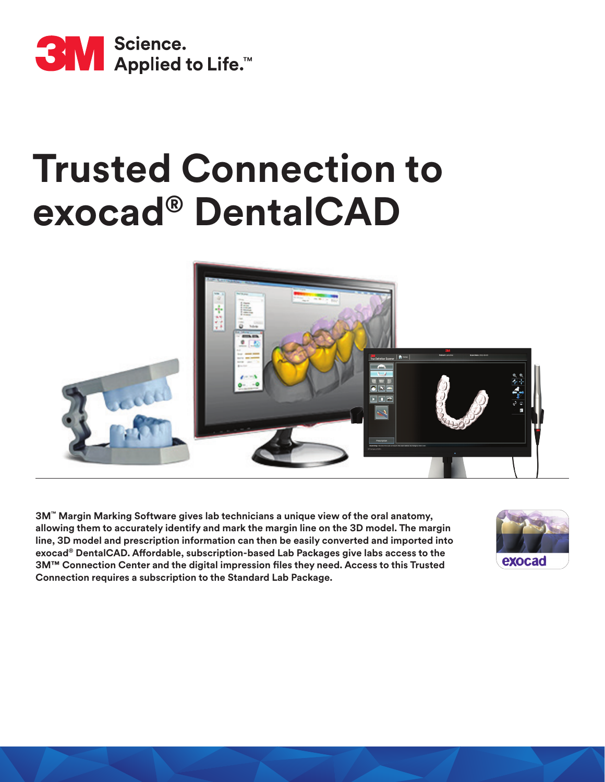

# **Trusted Connection to exocad® DentalCAD**



**3M™ Margin Marking Software gives lab technicians a unique view of the oral anatomy, allowing them to accurately identify and mark the margin line on the 3D model. The margin line, 3D model and prescription information can then be easily converted and imported into exocad® DentalCAD. Affordable, subscription-based Lab Packages give labs access to the 3M™ Connection Center and the digital impression files they need. Access to this Trusted Connection requires a subscription to the Standard Lab Package.**